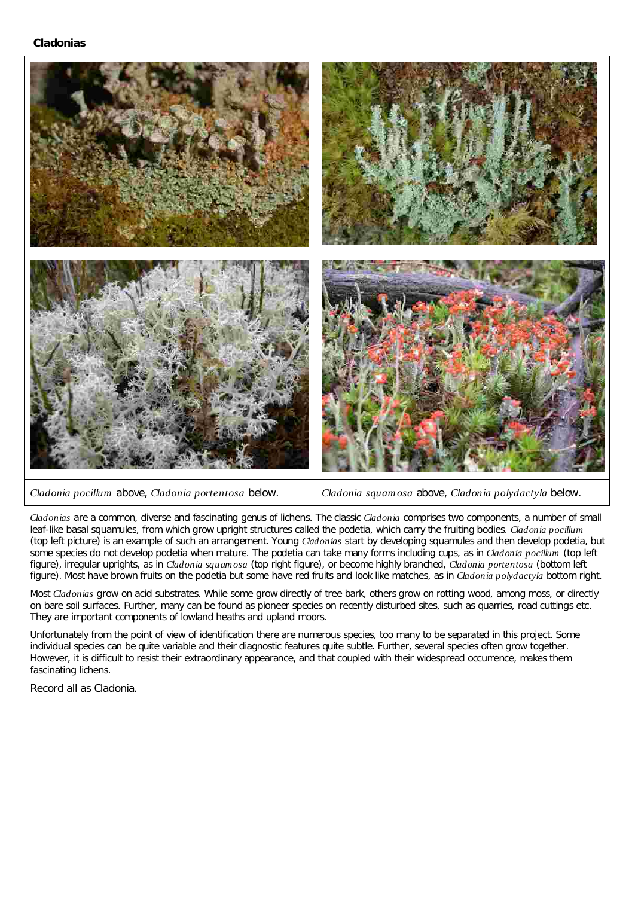## **Cladonias**



```
Cladonia pocillum Cladonia portentosa Cladonia squamosa Cladonia polydactyla
```
Cladonia squamosa above, Cladonia polydactyla below.

Cladonias are a common, diverse and fascinating genus of lichens. The classic Cladonia comprises two components, a number of small leaf-like basal squamules, from which grow upright structures called the podetia, which carry the fruiting bodies. Cladonia pocillum (top left picture) is an example of such an arrangement. Young Cladonias start by developing squamules and then develop podetia, but some species do not develop podetia when mature. The podetia can take many forms including cups, as in *Cladonia pocillum* (top left figure), irregular uprights, as in *Cladonia squamosa* (top right figure), or become highly branched, *Cladonia portentosa* (bottom left figure). Most have brown fruits on the podetia but some have red fruits and look like matches, as in *Cladonia polydactyla* bottom right.

Most *Cladonias* grow on acid substrates. While some grow directly of tree bark, others grow on rotting wood, among moss, or directly on bare soil surfaces. Further, many can be found as pioneer species on recently disturbed sites, such as quarries, road cuttings etc. They are important components of lowland heaths and upland moors.

Unfortunately from the point of view of identification there are numerous species, too many to be separated in this project. Some individual species can be quite variable and their diagnostic features quite subtle. Further, several species often grow together. However, it is difficult to resist their extraordinary appearance, and that coupled with their widespread occurrence, makes them fascinating lichens.

Record all as Cladonia.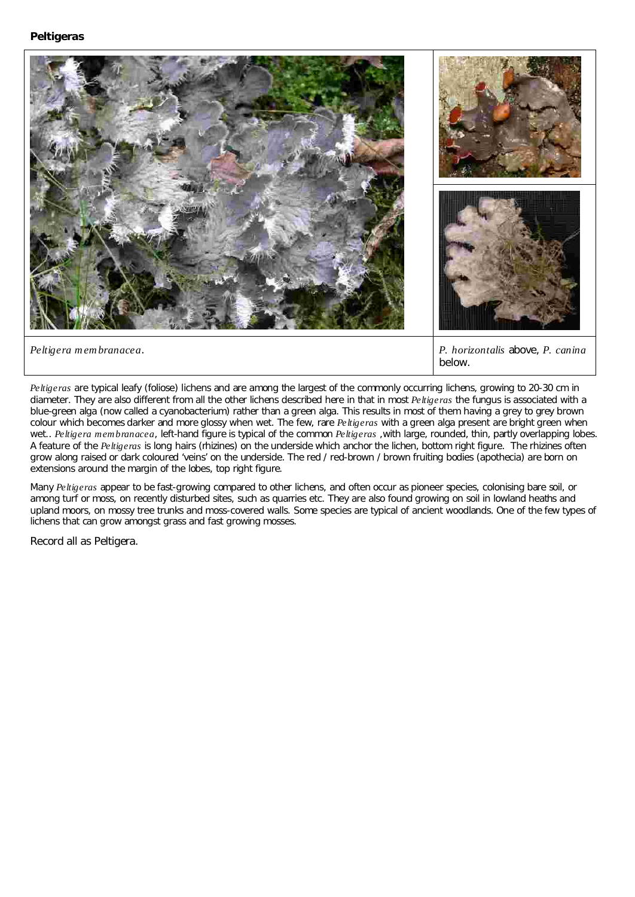

*Peltigeras* are typical leafy (foliose) lichens and are among the largest of the commonly occurring lichens, growing to 20-30 cm in diameter. They are also different from all the other lichens described here in that in most *Peltigeras* the fungus is associated with a colour which becomes darker and more glossy when wet. The few, rare *Peltigeras* with a green alga present are bright green when wet.. *Peltigera membranacea*, left-hand figure is typical of the common *Peltigeras* ,with large, rounded, thin, partly overlapping lobes. A feature of the *Peltigeras* is long hairs (rhizines) on the underside which anchor the lichen, bottom right figure. The rhizines often below. blue-green alga (now called a cyanobacterium) rather than a green alga. This results in most of them having a grey to grey brown grow along raised or dark coloured 'veins' on the underside. The red / red-brown / brown fruiting bodies (apothecia) are born on extensions around the margin of the lobes, top right figure.

Many *Peltigeras* appear to be fast-growing compared to other lichens, and often occur as pioneer species, colonising bare soil, or among turf or moss, on recently disturbed sites, such as quarries etc. They are also found growing on soil in lowland heaths and upland moors, on mossy tree trunks and moss-covered walls. Some species are typical of ancient woodlands. One of the few types of lichens that can grow amongst grass and fast growing mosses.

Record all as Peltigera.